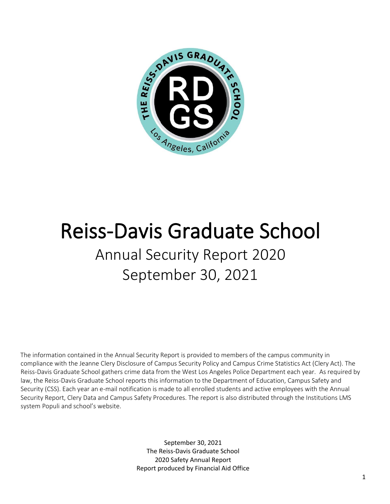

# Reiss-Davis Graduate School Annual Security Report 2020 September 30, 2021

The information contained in the Annual Security Report is provided to members of the campus community in compliance with the Jeanne Clery Disclosure of Campus Security Policy and Campus Crime Statistics Act (Clery Act). The Reiss-Davis Graduate School gathers crime data from the West Los Angeles Police Department each year. As required by law, the Reiss-Davis Graduate School reports this information to the Department of Education, Campus Safety and Security (CSS). Each year an e-mail notification is made to all enrolled students and active employees with the Annual Security Report, Clery Data and Campus Safety Procedures. The report is also distributed through the Institutions LMS system Populi and school's website.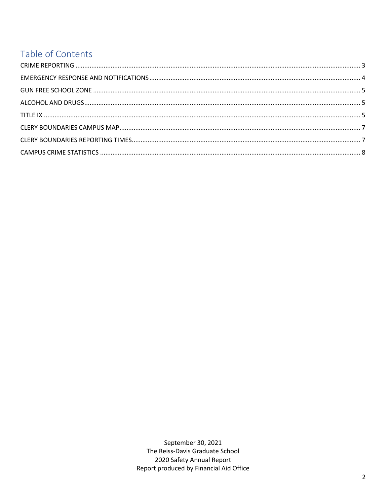## Table of Contents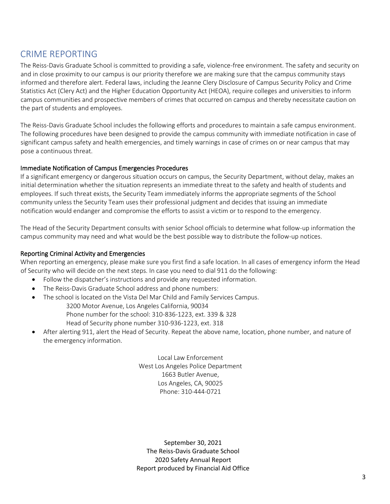### CRIME REPORTING

The Reiss-Davis Graduate School is committed to providing a safe, violence-free environment. The safety and security on and in close proximity to our campus is our priority therefore we are making sure that the campus community stays informed and therefore alert. Federal laws, including the Jeanne Clery Disclosure of Campus Security Policy and Crime Statistics Act (Clery Act) and the Higher Education Opportunity Act (HEOA), require colleges and universities to inform campus communities and prospective members of crimes that occurred on campus and thereby necessitate caution on the part of students and employees.

The Reiss-Davis Graduate School includes the following efforts and procedures to maintain a safe campus environment. The following procedures have been designed to provide the campus community with immediate notification in case of significant campus safety and health emergencies, and timely warnings in case of crimes on or near campus that may pose a continuous threat.

#### Immediate Notification of Campus Emergencies Procedures

If a significant emergency or dangerous situation occurs on campus, the Security Department, without delay, makes an initial determination whether the situation represents an immediate threat to the safety and health of students and employees. If such threat exists, the Security Team immediately informs the appropriate segments of the School community unless the Security Team uses their professional judgment and decides that issuing an immediate notification would endanger and compromise the efforts to assist a victim or to respond to the emergency.

The Head of the Security Department consults with senior School officials to determine what follow-up information the campus community may need and what would be the best possible way to distribute the follow-up notices.

#### Reporting Criminal Activity and Emergencies

When reporting an emergency, please make sure you first find a safe location. In all cases of emergency inform the Head of Security who will decide on the next steps. In case you need to dial 911 do the following:

- Follow the dispatcher's instructions and provide any requested information.
- The Reiss-Davis Graduate School address and phone numbers:
- The school is located on the Vista Del Mar Child and Family Services Campus.

3200 Motor Avenue, Los Angeles California, 90034

Phone number for the school: 310-836-1223, ext. 339 & 328

Head of Security phone number 310-936-1223, ext. 318

• After alerting 911, alert the Head of Security. Repeat the above name, location, phone number, and nature of the emergency information.

> Local Law Enforcement West Los Angeles Police Department 1663 Butler Avenue, Los Angeles, CA, 90025 Phone: 310-444-0721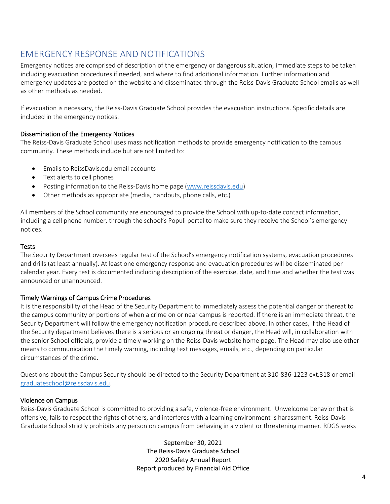## EMERGENCY RESPONSE AND NOTIFICATIONS

Emergency notices are comprised of description of the emergency or dangerous situation, immediate steps to be taken including evacuation procedures if needed, and where to find additional information. Further information and emergency updates are posted on the website and disseminated through the Reiss-Davis Graduate School emails as well as other methods as needed.

If evacuation is necessary, the Reiss-Davis Graduate School provides the evacuation instructions. Specific details are included in the emergency notices.

#### Dissemination of the Emergency Notices

The Reiss-Davis Graduate School uses mass notification methods to provide emergency notification to the campus community. These methods include but are not limited to:

- Emails to ReissDavis.edu email accounts
- Text alerts to cell phones
- Posting information to the Reiss-Davis home page [\(www.reissdavis.edu\)](http://www.reissdavis.edu/)
- Other methods as appropriate (media, handouts, phone calls, etc.)

All members of the School community are encouraged to provide the School with up-to-date contact information, including a cell phone number, through the school's Populi portal to make sure they receive the School's emergency notices.

#### **Tests**

The Security Department oversees regular test of the School's emergency notification systems, evacuation procedures and drills (at least annually). At least one emergency response and evacuation procedures will be disseminated per calendar year. Every test is documented including description of the exercise, date, and time and whether the test was announced or unannounced.

#### Timely Warnings of Campus Crime Procedures

It is the responsibility of the Head of the Security Department to immediately assess the potential danger or thereat to the campus community or portions of when a crime on or near campus is reported. If there is an immediate threat, the Security Department will follow the emergency notification procedure described above. In other cases, if the Head of the Security department believes there is a serious or an ongoing threat or danger, the Head will, in collaboration with the senior School officials, provide a timely working on the Reiss-Davis website home page. The Head may also use other means to communication the timely warning, including text messages, emails, etc., depending on particular circumstances of the crime.

Questions about the Campus Security should be directed to the Security Department at 310-836-1223 ext.318 or email [graduateschool@reissdavis.edu.](mailto:graduateschool@reissdavis.edu)

#### Violence on Campus

Reiss-Davis Graduate School is committed to providing a safe, violence-free environment. Unwelcome behavior that is offensive, fails to respect the rights of others, and interferes with a learning environment is harassment. Reiss-Davis Graduate School strictly prohibits any person on campus from behaving in a violent or threatening manner. RDGS seeks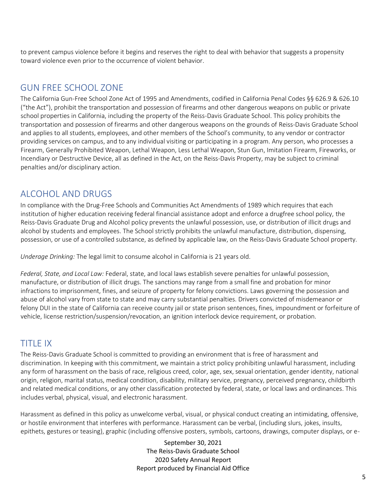to prevent campus violence before it begins and reserves the right to deal with behavior that suggests a propensity toward violence even prior to the occurrence of violent behavior.

## GUN FREE SCHOOL ZONE

The California Gun-Free School Zone Act of 1995 and Amendments, codified in California Penal Codes §§ 626.9 & 626.10 ("the Act"), prohibit the transportation and possession of firearms and other dangerous weapons on public or private school properties in California, including the property of the Reiss-Davis Graduate School. This policy prohibits the transportation and possession of firearms and other dangerous weapons on the grounds of Reiss-Davis Graduate School and applies to all students, employees, and other members of the School's community, to any vendor or contractor providing services on campus, and to any individual visiting or participating in a program. Any person, who processes a Firearm, Generally Prohibited Weapon, Lethal Weapon, Less Lethal Weapon, Stun Gun, Imitation Firearm, Fireworks, or Incendiary or Destructive Device, all as defined in the Act, on the Reiss-Davis Property, may be subject to criminal penalties and/or disciplinary action.

## ALCOHOL AND DRUGS

In compliance with the Drug-Free Schools and Communities Act Amendments of 1989 which requires that each institution of higher education receiving federal financial assistance adopt and enforce a drugfree school policy, the Reiss-Davis Graduate Drug and Alcohol policy prevents the unlawful possession, use, or distribution of illicit drugs and alcohol by students and employees. The School strictly prohibits the unlawful manufacture, distribution, dispensing, possession, or use of a controlled substance, as defined by applicable law, on the Reiss-Davis Graduate School property.

*Underage Drinking:* The legal limit to consume alcohol in California is 21 years old.

*Federal, State, and Local Law:* Federal, state, and local laws establish severe penalties for unlawful possession, manufacture, or distribution of illicit drugs. The sanctions may range from a small fine and probation for minor infractions to imprisonment, fines, and seizure of property for felony convictions. Laws governing the possession and abuse of alcohol vary from state to state and may carry substantial penalties. Drivers convicted of misdemeanor or felony DUI in the state of California can receive county jail or state prison sentences, fines, impoundment or forfeiture of vehicle, license restriction/suspension/revocation, an ignition interlock device requirement, or probation.

## TITLE IX

The Reiss-Davis Graduate School is committed to providing an environment that is free of harassment and discrimination. In keeping with this commitment, we maintain a strict policy prohibiting unlawful harassment, including any form of harassment on the basis of race, religious creed, color, age, sex, sexual orientation, gender identity, national origin, religion, marital status, medical condition, disability, military service, pregnancy, perceived pregnancy, childbirth and related medical conditions, or any other classification protected by federal, state, or local laws and ordinances. This includes verbal, physical, visual, and electronic harassment.

Harassment as defined in this policy as unwelcome verbal, visual, or physical conduct creating an intimidating, offensive, or hostile environment that interferes with performance. Harassment can be verbal, (including slurs, jokes, insults, epithets, gestures or teasing), graphic (including offensive posters, symbols, cartoons, drawings, computer displays, or e-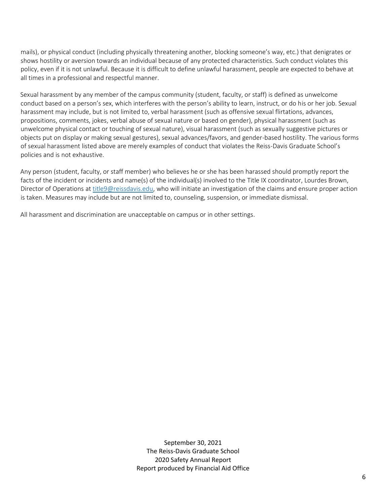mails), or physical conduct (including physically threatening another, blocking someone's way, etc.) that denigrates or shows hostility or aversion towards an individual because of any protected characteristics. Such conduct violates this policy, even if it is not unlawful. Because it is difficult to define unlawful harassment, people are expected to behave at all times in a professional and respectful manner.

Sexual harassment by any member of the campus community (student, faculty, or staff) is defined as unwelcome conduct based on a person's sex, which interferes with the person's ability to learn, instruct, or do his or her job. Sexual harassment may include, but is not limited to, verbal harassment (such as offensive sexual flirtations, advances, propositions, comments, jokes, verbal abuse of sexual nature or based on gender), physical harassment (such as unwelcome physical contact or touching of sexual nature), visual harassment (such as sexually suggestive pictures or objects put on display or making sexual gestures), sexual advances/favors, and gender-based hostility. The various forms of sexual harassment listed above are merely examples of conduct that violates the Reiss-Davis Graduate School's policies and is not exhaustive.

Any person (student, faculty, or staff member) who believes he or she has been harassed should promptly report the facts of the incident or incidents and name(s) of the individual(s) involved to the Title IX coordinator, Lourdes Brown, Director of Operations a[t title9@reissdavis.edu,](mailto:title9@reissdavis.edu) who will initiate an investigation of the claims and ensure proper action is taken. Measures may include but are not limited to, counseling, suspension, or immediate dismissal.

All harassment and discrimination are unacceptable on campus or in other settings.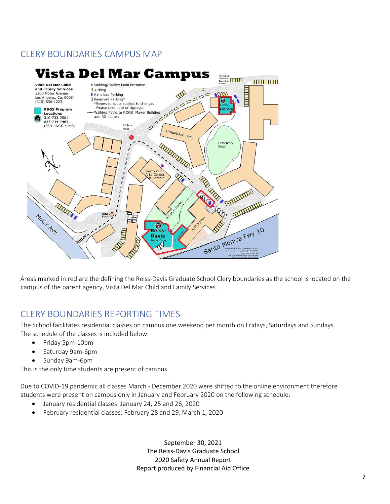## CLERY BOUNDARIES CAMPUS MAP



Areas marked in red are the defining the Reiss-Davis Graduate School Clery boundaries as the school is located on the campus of the parent agency, Vista Del Mar Child and Family Services.

## CLERY BOUNDARIES REPORTING TIMES

The School facilitates residential classes on campus one weekend per month on Fridays, Saturdays and Sundays. The schedule of the classes is included below:

- Friday 5pm-10pm
- Saturday 9am-6pm
- Sunday 9am-6pm

This is the only time students are present of campus.

Due to COVID-19 pandemic all classes March - December 2020 were shifted to the online environment therefore students were present on campus only in January and February 2020 on the following schedule:

- January residential classes: January 24, 25 and 26, 2020
- February residential classes: February 28 and 29, March 1, 2020